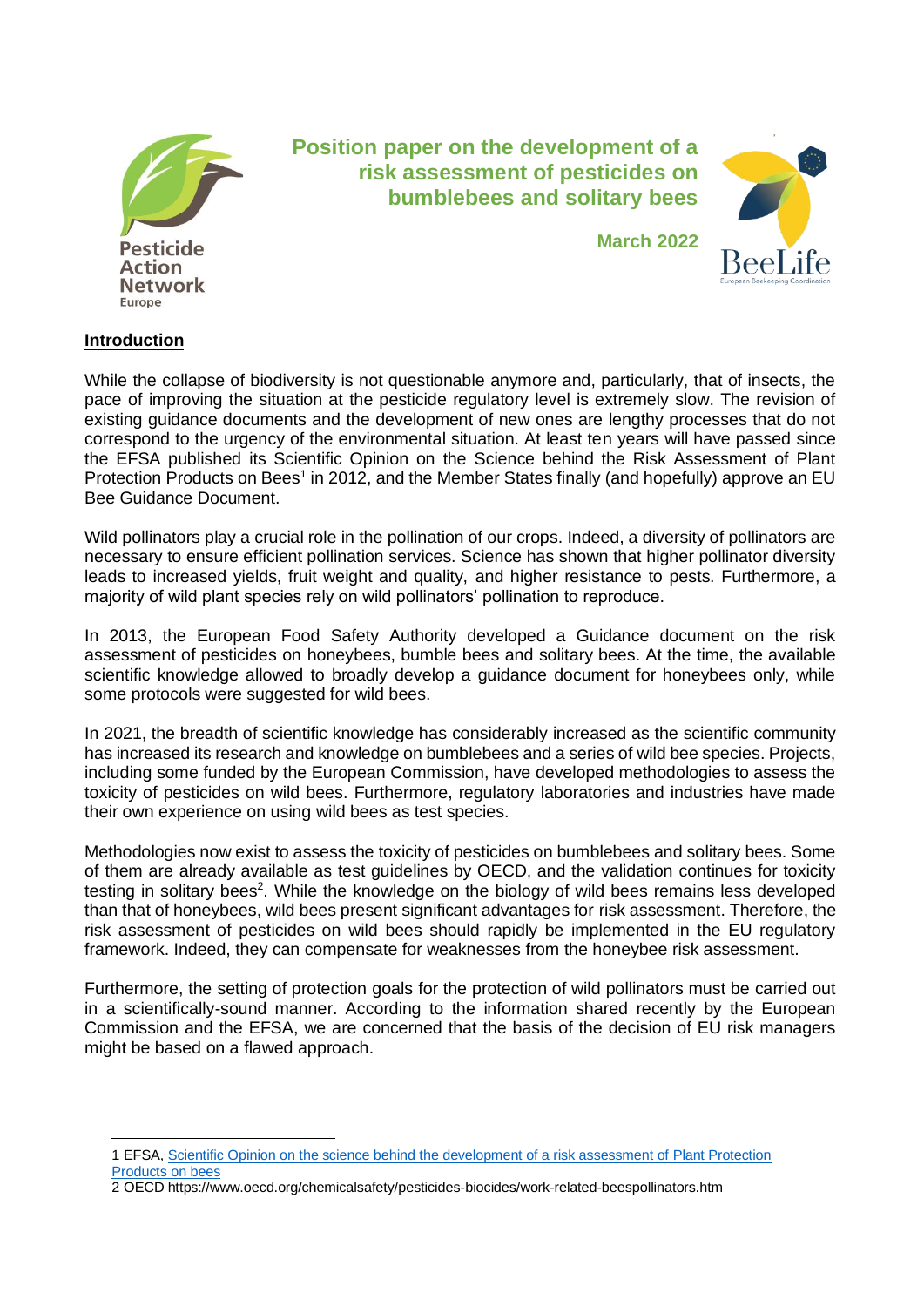

# **Position paper on the development of a risk assessment of pesticides on bumblebees and solitary bees**

**March 2022**



## **Introduction**

While the collapse of biodiversity is not questionable anymore and, particularly, that of insects, the pace of improving the situation at the pesticide regulatory level is extremely slow. The revision of existing guidance documents and the development of new ones are lengthy processes that do not correspond to the urgency of the environmental situation. At least ten years will have passed since the EFSA published its Scientific Opinion on the Science behind the Risk Assessment of Plant Protection Products on Bees<sup>1</sup> in 2012, and the Member States finally (and hopefully) approve an EU Bee Guidance Document.

Wild pollinators play a crucial role in the pollination of our crops. Indeed, a diversity of pollinators are necessary to ensure efficient pollination services. Science has shown that higher pollinator diversity leads to increased yields, fruit weight and quality, and higher resistance to pests. Furthermore, a majority of wild plant species rely on wild pollinators' pollination to reproduce.

In 2013, the European Food Safety Authority developed a Guidance document on the risk assessment of pesticides on honeybees, bumble bees and solitary bees. At the time, the available scientific knowledge allowed to broadly develop a guidance document for honeybees only, while some protocols were suggested for wild bees.

In 2021, the breadth of scientific knowledge has considerably increased as the scientific community has increased its research and knowledge on bumblebees and a series of wild bee species. Projects, including some funded by the European Commission, have developed methodologies to assess the toxicity of pesticides on wild bees. Furthermore, regulatory laboratories and industries have made their own experience on using wild bees as test species.

Methodologies now exist to assess the toxicity of pesticides on bumblebees and solitary bees. Some of them are already available as test guidelines by OECD, and the validation continues for toxicity testing in solitary bees<sup>2</sup>. While the knowledge on the biology of wild bees remains less developed than that of honeybees, wild bees present significant advantages for risk assessment. Therefore, the risk assessment of pesticides on wild bees should rapidly be implemented in the EU regulatory framework. Indeed, they can compensate for weaknesses from the honeybee risk assessment.

Furthermore, the setting of protection goals for the protection of wild pollinators must be carried out in a scientifically-sound manner. According to the information shared recently by the European Commission and the EFSA, we are concerned that the basis of the decision of EU risk managers might be based on a flawed approach.

<sup>1</sup> EFSA, [Scientific Opinion on the science behind the development of a risk assessment of Plant Protection](https://www.efsa.europa.eu/en/efsajournal/pub/2668)  [Products on bees](https://www.efsa.europa.eu/en/efsajournal/pub/2668)

<sup>2</sup> OECD https://www.oecd.org/chemicalsafety/pesticides-biocides/work-related-beespollinators.htm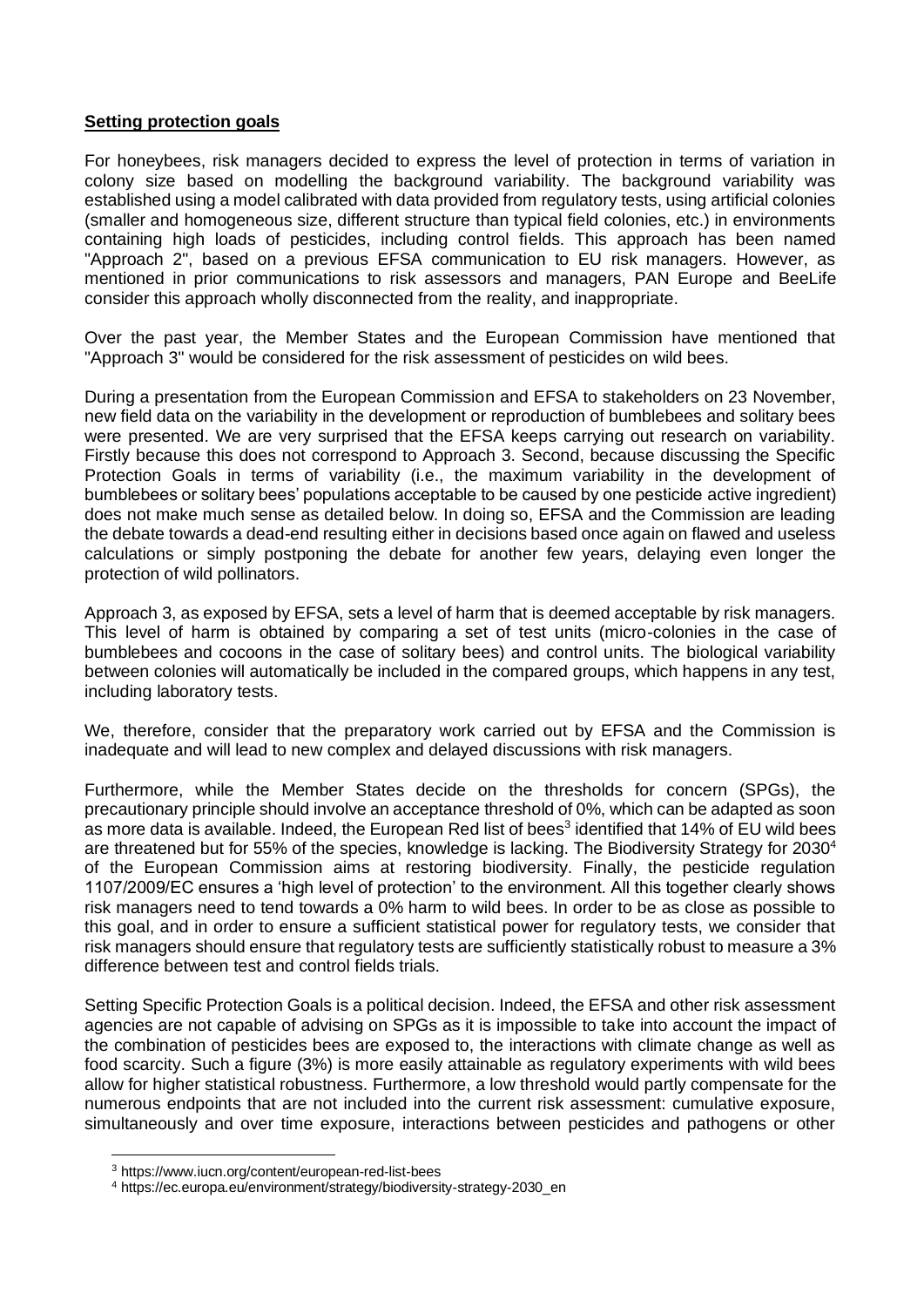### **Setting protection goals**

For honeybees, risk managers decided to express the level of protection in terms of variation in colony size based on modelling the background variability. The background variability was established using a model calibrated with data provided from regulatory tests, using artificial colonies (smaller and homogeneous size, different structure than typical field colonies, etc.) in environments containing high loads of pesticides, including control fields. This approach has been named "Approach 2", based on a previous EFSA communication to EU risk managers. However, as mentioned in prior communications to risk assessors and managers, PAN Europe and BeeLife consider this approach wholly disconnected from the reality, and inappropriate.

Over the past year, the Member States and the European Commission have mentioned that "Approach 3" would be considered for the risk assessment of pesticides on wild bees.

During a presentation from the European Commission and EFSA to stakeholders on 23 November, new field data on the variability in the development or reproduction of bumblebees and solitary bees were presented. We are very surprised that the EFSA keeps carrying out research on variability. Firstly because this does not correspond to Approach 3. Second, because discussing the Specific Protection Goals in terms of variability (i.e., the maximum variability in the development of bumblebees or solitary bees' populations acceptable to be caused by one pesticide active ingredient) does not make much sense as detailed below. In doing so, EFSA and the Commission are leading the debate towards a dead-end resulting either in decisions based once again on flawed and useless calculations or simply postponing the debate for another few years, delaying even longer the protection of wild pollinators.

Approach 3, as exposed by EFSA, sets a level of harm that is deemed acceptable by risk managers. This level of harm is obtained by comparing a set of test units (micro-colonies in the case of bumblebees and cocoons in the case of solitary bees) and control units. The biological variability between colonies will automatically be included in the compared groups, which happens in any test, including laboratory tests.

We, therefore, consider that the preparatory work carried out by EFSA and the Commission is inadequate and will lead to new complex and delayed discussions with risk managers.

Furthermore, while the Member States decide on the thresholds for concern (SPGs), the precautionary principle should involve an acceptance threshold of 0%, which can be adapted as soon as more data is available. Indeed, the European Red list of bees<sup>3</sup> identified that 14% of EU wild bees are threatened but for 55% of the species, knowledge is lacking. The Biodiversity Strategy for 2030<sup>4</sup> of the European Commission aims at restoring biodiversity. Finally, the pesticide regulation 1107/2009/EC ensures a 'high level of protection' to the environment. All this together clearly shows risk managers need to tend towards a 0% harm to wild bees. In order to be as close as possible to this goal, and in order to ensure a sufficient statistical power for regulatory tests, we consider that risk managers should ensure that regulatory tests are sufficiently statistically robust to measure a 3% difference between test and control fields trials.

Setting Specific Protection Goals is a political decision. Indeed, the EFSA and other risk assessment agencies are not capable of advising on SPGs as it is impossible to take into account the impact of the combination of pesticides bees are exposed to, the interactions with climate change as well as food scarcity. Such a figure (3%) is more easily attainable as regulatory experiments with wild bees allow for higher statistical robustness. Furthermore, a low threshold would partly compensate for the numerous endpoints that are not included into the current risk assessment: cumulative exposure, simultaneously and over time exposure, interactions between pesticides and pathogens or other

<sup>3</sup> https://www.iucn.org/content/european-red-list-bees

<sup>4</sup> https://ec.europa.eu/environment/strategy/biodiversity-strategy-2030\_en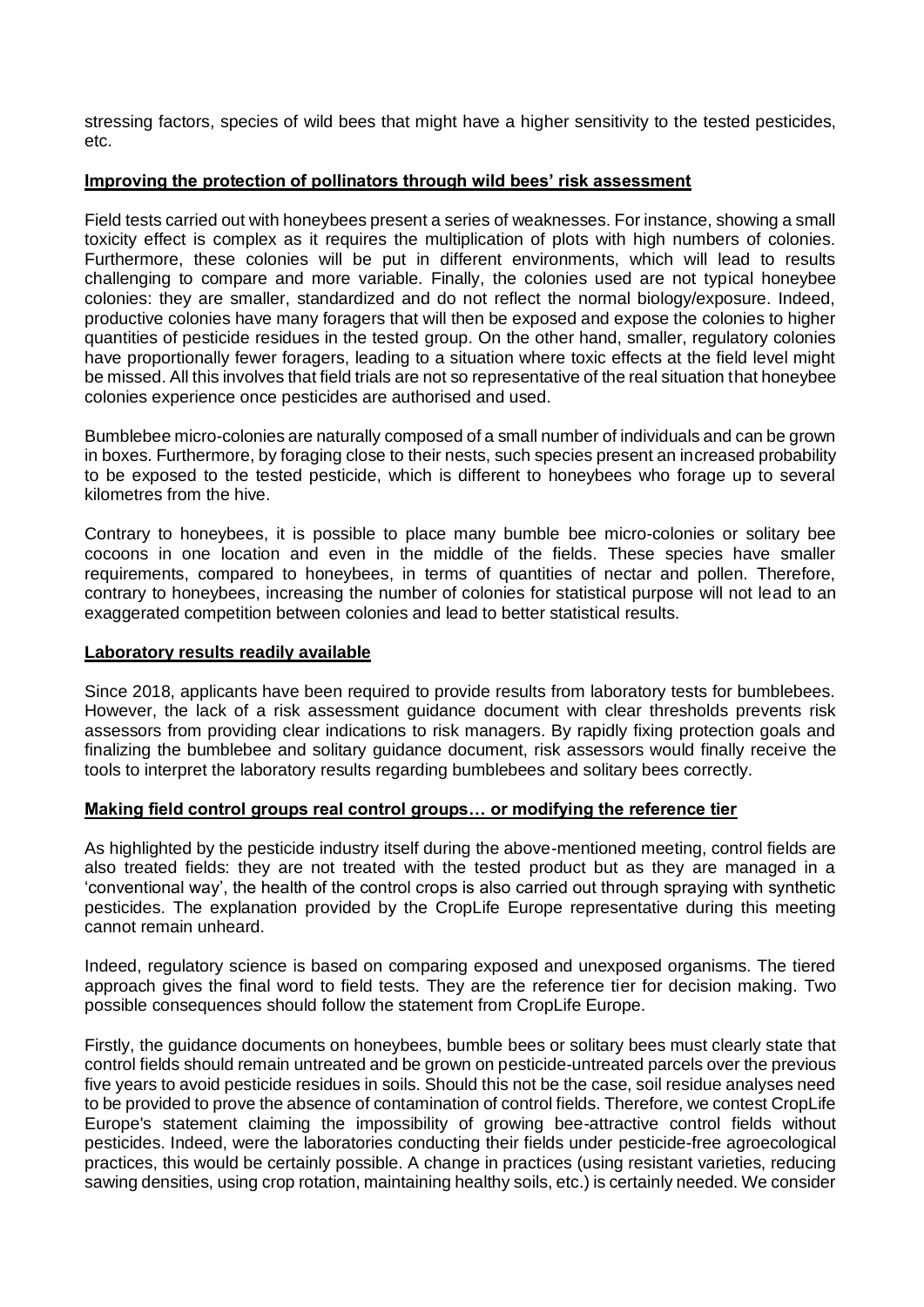stressing factors, species of wild bees that might have a higher sensitivity to the tested pesticides, etc.

### **Improving the protection of pollinators through wild bees' risk assessment**

Field tests carried out with honeybees present a series of weaknesses. For instance, showing a small toxicity effect is complex as it requires the multiplication of plots with high numbers of colonies. Furthermore, these colonies will be put in different environments, which will lead to results challenging to compare and more variable. Finally, the colonies used are not typical honeybee colonies: they are smaller, standardized and do not reflect the normal biology/exposure. Indeed, productive colonies have many foragers that will then be exposed and expose the colonies to higher quantities of pesticide residues in the tested group. On the other hand, smaller, regulatory colonies have proportionally fewer foragers, leading to a situation where toxic effects at the field level might be missed. All this involves that field trials are not so representative of the real situation that honeybee colonies experience once pesticides are authorised and used.

Bumblebee micro-colonies are naturally composed of a small number of individuals and can be grown in boxes. Furthermore, by foraging close to their nests, such species present an increased probability to be exposed to the tested pesticide, which is different to honeybees who forage up to several kilometres from the hive.

Contrary to honeybees, it is possible to place many bumble bee micro-colonies or solitary bee cocoons in one location and even in the middle of the fields. These species have smaller requirements, compared to honeybees, in terms of quantities of nectar and pollen. Therefore, contrary to honeybees, increasing the number of colonies for statistical purpose will not lead to an exaggerated competition between colonies and lead to better statistical results.

### **Laboratory results readily available**

Since 2018, applicants have been required to provide results from laboratory tests for bumblebees. However, the lack of a risk assessment guidance document with clear thresholds prevents risk assessors from providing clear indications to risk managers. By rapidly fixing protection goals and finalizing the bumblebee and solitary guidance document, risk assessors would finally receive the tools to interpret the laboratory results regarding bumblebees and solitary bees correctly.

## **Making field control groups real control groups… or modifying the reference tier**

As highlighted by the pesticide industry itself during the above-mentioned meeting, control fields are also treated fields: they are not treated with the tested product but as they are managed in a 'conventional way', the health of the control crops is also carried out through spraying with synthetic pesticides. The explanation provided by the CropLife Europe representative during this meeting cannot remain unheard.

Indeed, regulatory science is based on comparing exposed and unexposed organisms. The tiered approach gives the final word to field tests. They are the reference tier for decision making. Two possible consequences should follow the statement from CropLife Europe.

Firstly, the guidance documents on honeybees, bumble bees or solitary bees must clearly state that control fields should remain untreated and be grown on pesticide-untreated parcels over the previous five years to avoid pesticide residues in soils. Should this not be the case, soil residue analyses need to be provided to prove the absence of contamination of control fields. Therefore, we contest CropLife Europe's statement claiming the impossibility of growing bee-attractive control fields without pesticides. Indeed, were the laboratories conducting their fields under pesticide-free agroecological practices, this would be certainly possible. A change in practices (using resistant varieties, reducing sawing densities, using crop rotation, maintaining healthy soils, etc.) is certainly needed. We consider